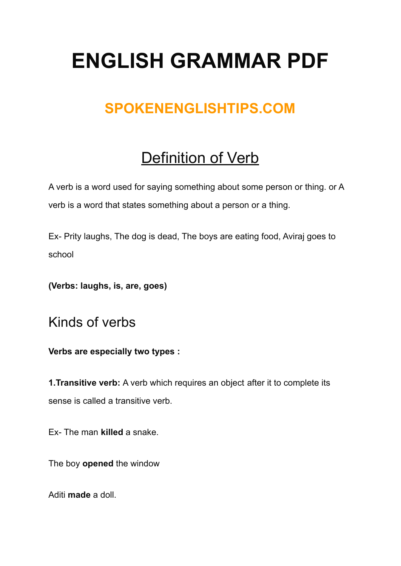# **ENGLISH GRAMMAR PDF**

## **SPOKENENGLISHTIPS.COM**

# Definition of Verb

A verb is a word used for saying something about some person or thing. or A verb is a word that states something about a person or a thing.

Ex- Prity laughs, The dog is dead, The boys are eating food, Aviraj goes to school

**(Verbs: laughs, is, are, goes)**

Kinds of verbs

**Verbs are especially two types :**

**1.Transitive verb:** A verb which requires an object after it to complete its sense is called a transitive verb.

Ex- The man **killed** a snake.

The boy **opened** the window

Aditi **made** a doll.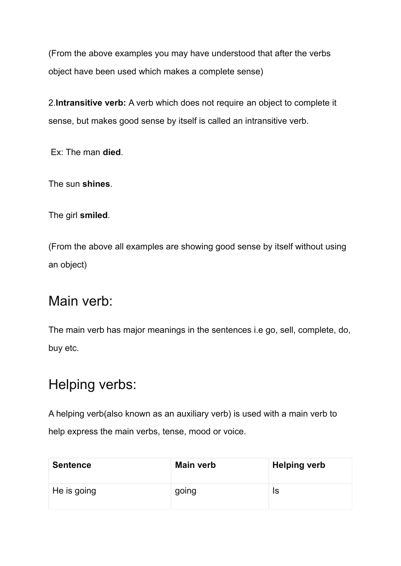(From the above examples you may have understood that after the verbs object have been used which makes a complete sense)

2.**Intransitive verb:** A verb which does not require an object to complete it sense, but makes good sense by itself is called an intransitive verb.

Ex: The man **died**.

The sun **shines**.

The girl **smiled**.

(From the above all examples are showing good sense by itself without using an object)

#### Main verb:

The main verb has major meanings in the sentences i.e go, sell, complete, do, buy etc.

### Helping verbs:

A helping verb(also known as an auxiliary verb) is used with a main verb to help express the main verbs, tense, mood or voice.

| <b>Sentence</b> | <b>Main verb</b> | <b>Helping verb</b> |
|-----------------|------------------|---------------------|
| He is going     | going            | Is                  |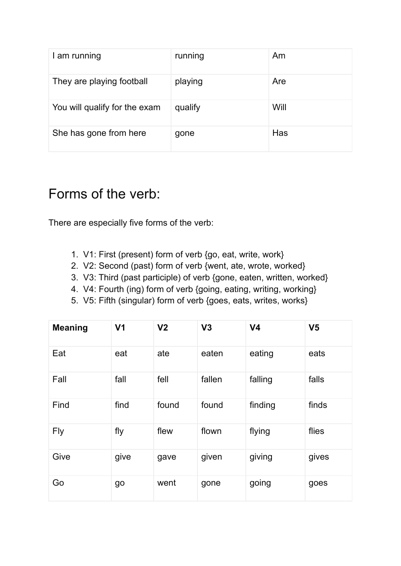| I am running                  | running | Am          |
|-------------------------------|---------|-------------|
| They are playing football     | playing | Are         |
| You will qualify for the exam | qualify | <b>Will</b> |
| She has gone from here        | gone    | Has         |

#### Forms of the verb:

There are especially five forms of the verb:

- 1. V1: First (present) form of verb {go, eat, write, work}
- 2. V2: Second (past) form of verb {went, ate, wrote, worked}
- 3. V3: Third (past participle) of verb {gone, eaten, written, worked}
- 4. V4: Fourth (ing) form of verb {going, eating, writing, working}
- 5. V5: Fifth (singular) form of verb {goes, eats, writes, works}

| <b>Meaning</b> | V <sub>1</sub> | V <sub>2</sub> | V3     | V <sub>4</sub> | V <sub>5</sub> |
|----------------|----------------|----------------|--------|----------------|----------------|
| Eat            | eat            | ate            | eaten  | eating         | eats           |
| Fall           | fall           | fell           | fallen | falling        | falls          |
| Find           | find           | found          | found  | finding        | finds          |
| <b>Fly</b>     | fly            | flew           | flown  | flying         | flies          |
| Give           | give           | gave           | given  | giving         | gives          |
| Go             | go             | went           | gone   | going          | goes           |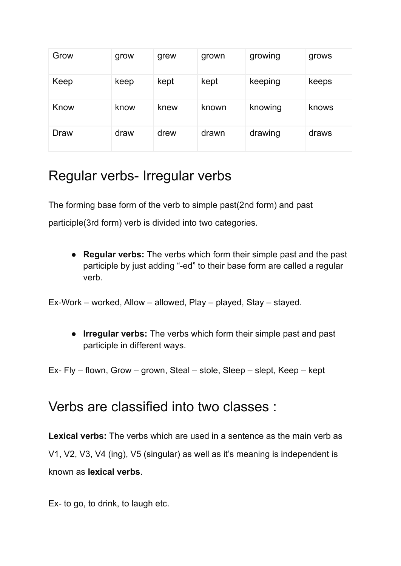| Grow | grow | grew | grown | growing | grows |
|------|------|------|-------|---------|-------|
| Keep | keep | kept | kept  | keeping | keeps |
| Know | know | knew | known | knowing | knows |
| Draw | draw | drew | drawn | drawing | draws |

#### Regular verbs- Irregular verbs

The forming base form of the verb to simple past(2nd form) and past participle(3rd form) verb is divided into two categories.

● **Regular verbs:** The verbs which form their simple past and the past participle by just adding "-ed" to their base form are called a regular verb.

Ex-Work – worked, Allow – allowed, Play – played, Stay – stayed.

● **Irregular verbs:** The verbs which form their simple past and past participle in different ways.

Ex- Fly – flown, Grow – grown, Steal – stole, Sleep – slept, Keep – kept

#### Verbs are classified into two classes :

**Lexical verbs:** The verbs which are used in a sentence as the main verb as V1, V2, V3, V4 (ing), V5 (singular) as well as it's meaning is independent is known as **lexical verbs**.

Ex- to go, to drink, to laugh etc.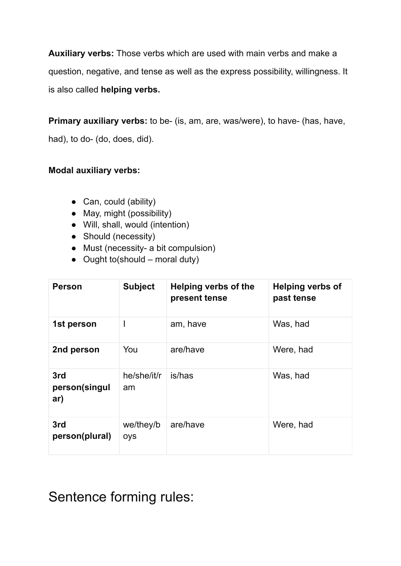**Auxiliary verbs:** Those verbs which are used with main verbs and make a question, negative, and tense as well as the express possibility, willingness. It is also called **helping verbs.**

**Primary auxiliary verbs:** to be- (is, am, are, was/were), to have- (has, have,

had), to do- (do, does, did).

#### **Modal auxiliary verbs:**

- Can, could (ability)
- May, might (possibility)
- Will, shall, would (intention)
- Should (necessity)
- Must (necessity- a bit compulsion)
- $\bullet$  Ought to (should moral duty)

| <b>Person</b>               | <b>Subject</b>    | <b>Helping verbs of the</b><br>present tense | <b>Helping verbs of</b><br>past tense |
|-----------------------------|-------------------|----------------------------------------------|---------------------------------------|
| 1st person                  | ı                 | am, have                                     | Was, had                              |
| 2nd person                  | You               | are/have                                     | Were, had                             |
| 3rd<br>person(singul<br>ar) | he/she/it/r<br>am | is/has                                       | Was, had                              |
| 3rd<br>person(plural)       | we/they/b<br>oys  | are/have                                     | Were, had                             |

Sentence forming rules: